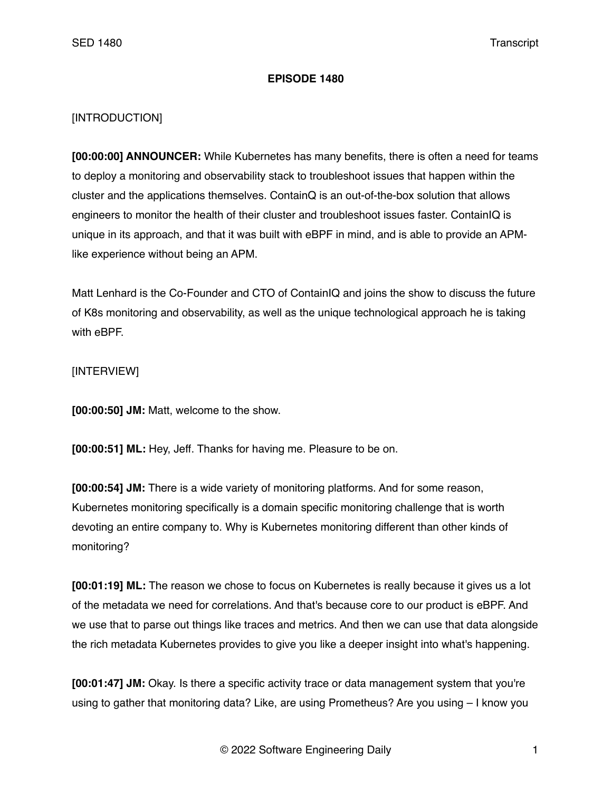## **EPISODE 1480**

## [INTRODUCTION]

**[00:00:00] ANNOUNCER:** While Kubernetes has many benefits, there is often a need for teams to deploy a monitoring and observability stack to troubleshoot issues that happen within the cluster and the applications themselves. ContainQ is an out-of-the-box solution that allows engineers to monitor the health of their cluster and troubleshoot issues faster. ContainIQ is unique in its approach, and that it was built with eBPF in mind, and is able to provide an APMlike experience without being an APM.

Matt Lenhard is the Co-Founder and CTO of ContainIQ and joins the show to discuss the future of K8s monitoring and observability, as well as the unique technological approach he is taking with eBPF.

[INTERVIEW]

**[00:00:50] JM:** Matt, welcome to the show.

**[00:00:51] ML:** Hey, Jeff. Thanks for having me. Pleasure to be on.

**[00:00:54] JM:** There is a wide variety of monitoring platforms. And for some reason, Kubernetes monitoring specifically is a domain specific monitoring challenge that is worth devoting an entire company to. Why is Kubernetes monitoring different than other kinds of monitoring?

**[00:01:19] ML:** The reason we chose to focus on Kubernetes is really because it gives us a lot of the metadata we need for correlations. And that's because core to our product is eBPF. And we use that to parse out things like traces and metrics. And then we can use that data alongside the rich metadata Kubernetes provides to give you like a deeper insight into what's happening.

**[00:01:47] JM:** Okay. Is there a specific activity trace or data management system that you're using to gather that monitoring data? Like, are using Prometheus? Are you using – I know you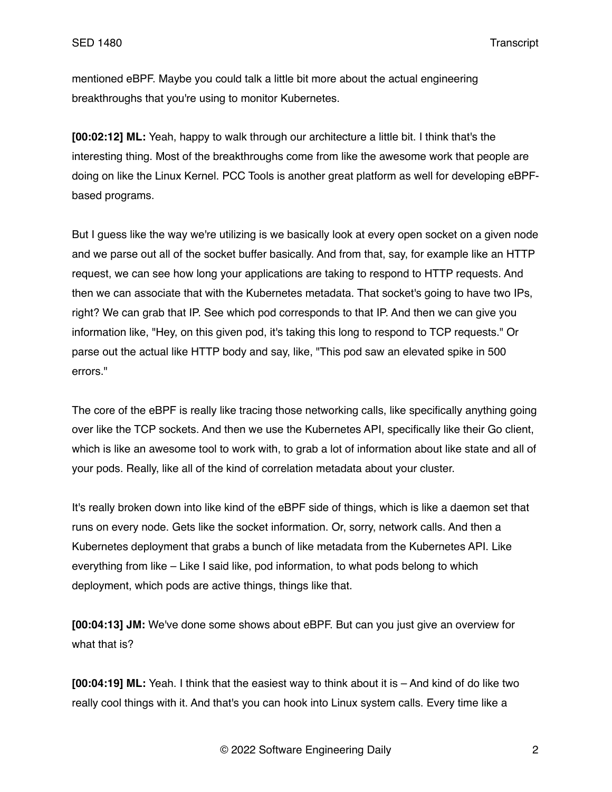mentioned eBPF. Maybe you could talk a little bit more about the actual engineering breakthroughs that you're using to monitor Kubernetes.

**[00:02:12] ML:** Yeah, happy to walk through our architecture a little bit. I think that's the interesting thing. Most of the breakthroughs come from like the awesome work that people are doing on like the Linux Kernel. PCC Tools is another great platform as well for developing eBPFbased programs.

But I guess like the way we're utilizing is we basically look at every open socket on a given node and we parse out all of the socket buffer basically. And from that, say, for example like an HTTP request, we can see how long your applications are taking to respond to HTTP requests. And then we can associate that with the Kubernetes metadata. That socket's going to have two IPs, right? We can grab that IP. See which pod corresponds to that IP. And then we can give you information like, "Hey, on this given pod, it's taking this long to respond to TCP requests." Or parse out the actual like HTTP body and say, like, "This pod saw an elevated spike in 500 errors."

The core of the eBPF is really like tracing those networking calls, like specifically anything going over like the TCP sockets. And then we use the Kubernetes API, specifically like their Go client, which is like an awesome tool to work with, to grab a lot of information about like state and all of your pods. Really, like all of the kind of correlation metadata about your cluster.

It's really broken down into like kind of the eBPF side of things, which is like a daemon set that runs on every node. Gets like the socket information. Or, sorry, network calls. And then a Kubernetes deployment that grabs a bunch of like metadata from the Kubernetes API. Like everything from like – Like I said like, pod information, to what pods belong to which deployment, which pods are active things, things like that.

**[00:04:13] JM:** We've done some shows about eBPF. But can you just give an overview for what that is?

**[00:04:19] ML:** Yeah. I think that the easiest way to think about it is – And kind of do like two really cool things with it. And that's you can hook into Linux system calls. Every time like a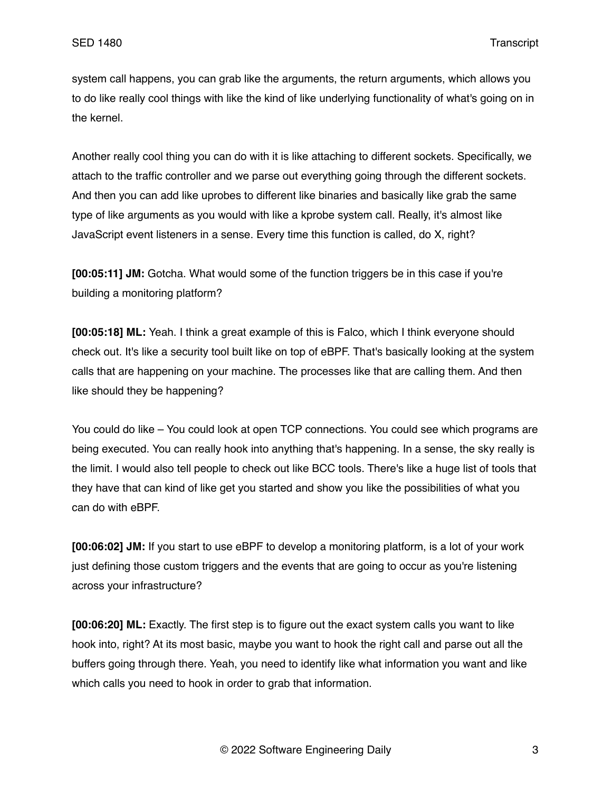system call happens, you can grab like the arguments, the return arguments, which allows you to do like really cool things with like the kind of like underlying functionality of what's going on in the kernel.

Another really cool thing you can do with it is like attaching to different sockets. Specifically, we attach to the traffic controller and we parse out everything going through the different sockets. And then you can add like uprobes to different like binaries and basically like grab the same type of like arguments as you would with like a kprobe system call. Really, it's almost like JavaScript event listeners in a sense. Every time this function is called, do X, right?

**[00:05:11] JM:** Gotcha. What would some of the function triggers be in this case if you're building a monitoring platform?

**[00:05:18] ML:** Yeah. I think a great example of this is Falco, which I think everyone should check out. It's like a security tool built like on top of eBPF. That's basically looking at the system calls that are happening on your machine. The processes like that are calling them. And then like should they be happening?

You could do like – You could look at open TCP connections. You could see which programs are being executed. You can really hook into anything that's happening. In a sense, the sky really is the limit. I would also tell people to check out like BCC tools. There's like a huge list of tools that they have that can kind of like get you started and show you like the possibilities of what you can do with eBPF.

**[00:06:02] JM:** If you start to use eBPF to develop a monitoring platform, is a lot of your work just defining those custom triggers and the events that are going to occur as you're listening across your infrastructure?

**[00:06:20] ML:** Exactly. The first step is to figure out the exact system calls you want to like hook into, right? At its most basic, maybe you want to hook the right call and parse out all the buffers going through there. Yeah, you need to identify like what information you want and like which calls you need to hook in order to grab that information.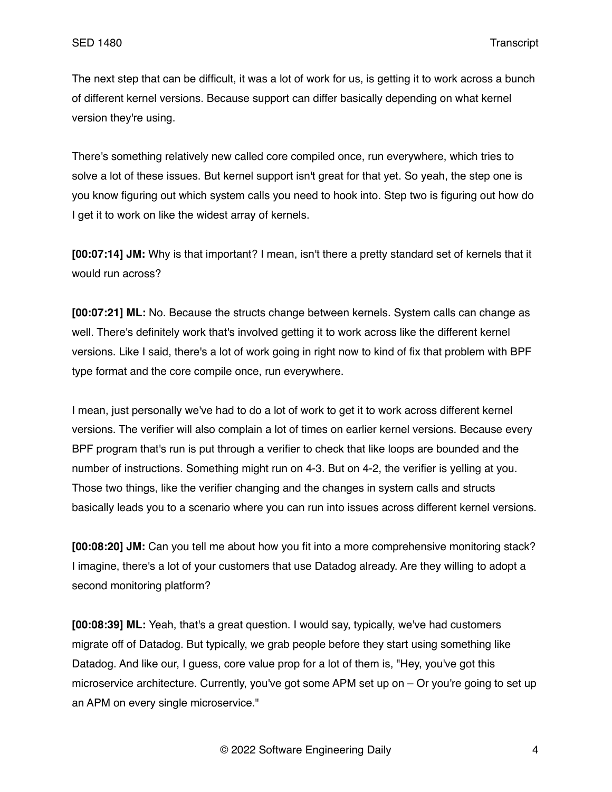The next step that can be difficult, it was a lot of work for us, is getting it to work across a bunch of different kernel versions. Because support can differ basically depending on what kernel version they're using.

There's something relatively new called core compiled once, run everywhere, which tries to solve a lot of these issues. But kernel support isn't great for that yet. So yeah, the step one is you know figuring out which system calls you need to hook into. Step two is figuring out how do I get it to work on like the widest array of kernels.

**[00:07:14] JM:** Why is that important? I mean, isn't there a pretty standard set of kernels that it would run across?

**[00:07:21] ML:** No. Because the structs change between kernels. System calls can change as well. There's definitely work that's involved getting it to work across like the different kernel versions. Like I said, there's a lot of work going in right now to kind of fix that problem with BPF type format and the core compile once, run everywhere.

I mean, just personally we've had to do a lot of work to get it to work across different kernel versions. The verifier will also complain a lot of times on earlier kernel versions. Because every BPF program that's run is put through a verifier to check that like loops are bounded and the number of instructions. Something might run on 4-3. But on 4-2, the verifier is yelling at you. Those two things, like the verifier changing and the changes in system calls and structs basically leads you to a scenario where you can run into issues across different kernel versions.

**[00:08:20] JM:** Can you tell me about how you fit into a more comprehensive monitoring stack? I imagine, there's a lot of your customers that use Datadog already. Are they willing to adopt a second monitoring platform?

**[00:08:39] ML:** Yeah, that's a great question. I would say, typically, we've had customers migrate off of Datadog. But typically, we grab people before they start using something like Datadog. And like our, I guess, core value prop for a lot of them is, "Hey, you've got this microservice architecture. Currently, you've got some APM set up on – Or you're going to set up an APM on every single microservice."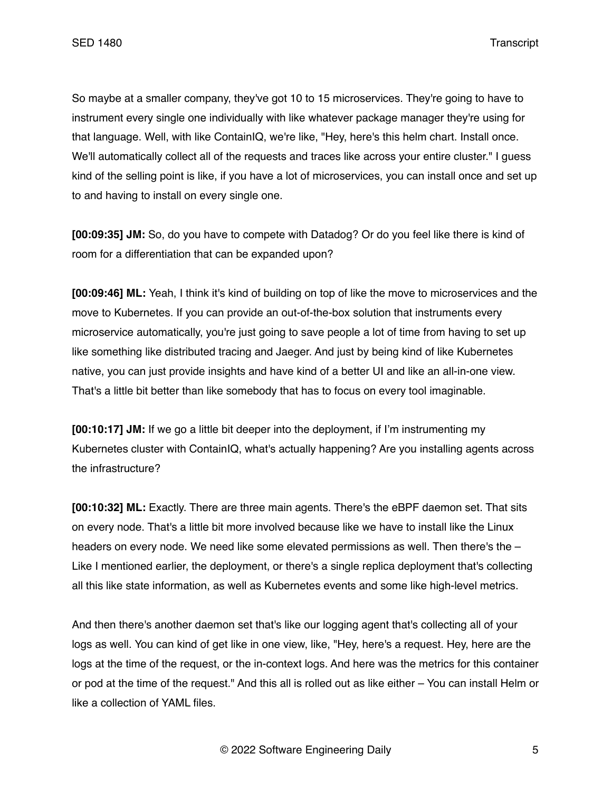So maybe at a smaller company, they've got 10 to 15 microservices. They're going to have to instrument every single one individually with like whatever package manager they're using for that language. Well, with like ContainIQ, we're like, "Hey, here's this helm chart. Install once. We'll automatically collect all of the requests and traces like across your entire cluster." I quess kind of the selling point is like, if you have a lot of microservices, you can install once and set up to and having to install on every single one.

**[00:09:35] JM:** So, do you have to compete with Datadog? Or do you feel like there is kind of room for a differentiation that can be expanded upon?

**[00:09:46] ML:** Yeah, I think it's kind of building on top of like the move to microservices and the move to Kubernetes. If you can provide an out-of-the-box solution that instruments every microservice automatically, you're just going to save people a lot of time from having to set up like something like distributed tracing and Jaeger. And just by being kind of like Kubernetes native, you can just provide insights and have kind of a better UI and like an all-in-one view. That's a little bit better than like somebody that has to focus on every tool imaginable.

**[00:10:17] JM:** If we go a little bit deeper into the deployment, if I'm instrumenting my Kubernetes cluster with ContainIQ, what's actually happening? Are you installing agents across the infrastructure?

**[00:10:32] ML:** Exactly. There are three main agents. There's the eBPF daemon set. That sits on every node. That's a little bit more involved because like we have to install like the Linux headers on every node. We need like some elevated permissions as well. Then there's the -Like I mentioned earlier, the deployment, or there's a single replica deployment that's collecting all this like state information, as well as Kubernetes events and some like high-level metrics.

And then there's another daemon set that's like our logging agent that's collecting all of your logs as well. You can kind of get like in one view, like, "Hey, here's a request. Hey, here are the logs at the time of the request, or the in-context logs. And here was the metrics for this container or pod at the time of the request." And this all is rolled out as like either – You can install Helm or like a collection of YAML files.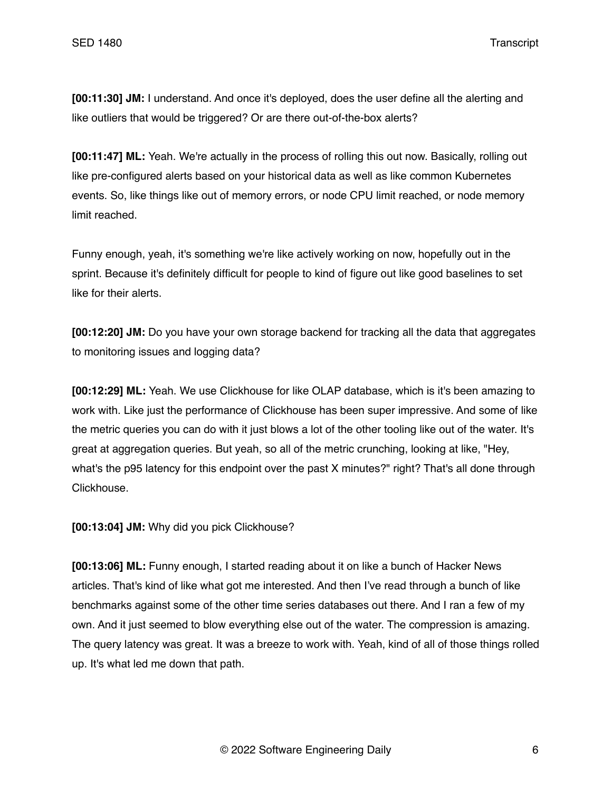**[00:11:30] JM:** I understand. And once it's deployed, does the user define all the alerting and like outliers that would be triggered? Or are there out-of-the-box alerts?

**[00:11:47] ML:** Yeah. We're actually in the process of rolling this out now. Basically, rolling out like pre-configured alerts based on your historical data as well as like common Kubernetes events. So, like things like out of memory errors, or node CPU limit reached, or node memory limit reached.

Funny enough, yeah, it's something we're like actively working on now, hopefully out in the sprint. Because it's definitely difficult for people to kind of figure out like good baselines to set like for their alerts.

**[00:12:20] JM:** Do you have your own storage backend for tracking all the data that aggregates to monitoring issues and logging data?

**[00:12:29] ML:** Yeah. We use Clickhouse for like OLAP database, which is it's been amazing to work with. Like just the performance of Clickhouse has been super impressive. And some of like the metric queries you can do with it just blows a lot of the other tooling like out of the water. It's great at aggregation queries. But yeah, so all of the metric crunching, looking at like, "Hey, what's the p95 latency for this endpoint over the past X minutes?" right? That's all done through Clickhouse.

**[00:13:04] JM:** Why did you pick Clickhouse?

**[00:13:06] ML:** Funny enough, I started reading about it on like a bunch of Hacker News articles. That's kind of like what got me interested. And then I've read through a bunch of like benchmarks against some of the other time series databases out there. And I ran a few of my own. And it just seemed to blow everything else out of the water. The compression is amazing. The query latency was great. It was a breeze to work with. Yeah, kind of all of those things rolled up. It's what led me down that path.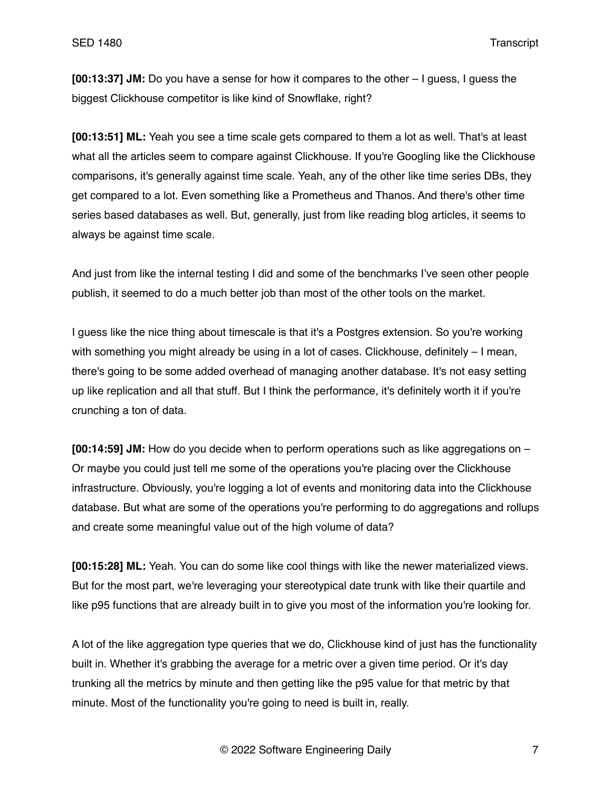**[00:13:37] JM:** Do you have a sense for how it compares to the other – I guess, I guess the biggest Clickhouse competitor is like kind of Snowflake, right?

**[00:13:51] ML:** Yeah you see a time scale gets compared to them a lot as well. That's at least what all the articles seem to compare against Clickhouse. If you're Googling like the Clickhouse comparisons, it's generally against time scale. Yeah, any of the other like time series DBs, they get compared to a lot. Even something like a Prometheus and Thanos. And there's other time series based databases as well. But, generally, just from like reading blog articles, it seems to always be against time scale.

And just from like the internal testing I did and some of the benchmarks I've seen other people publish, it seemed to do a much better job than most of the other tools on the market.

I guess like the nice thing about timescale is that it's a Postgres extension. So you're working with something you might already be using in a lot of cases. Clickhouse, definitely - I mean, there's going to be some added overhead of managing another database. It's not easy setting up like replication and all that stuff. But I think the performance, it's definitely worth it if you're crunching a ton of data.

**[00:14:59] JM:** How do you decide when to perform operations such as like aggregations on – Or maybe you could just tell me some of the operations you're placing over the Clickhouse infrastructure. Obviously, you're logging a lot of events and monitoring data into the Clickhouse database. But what are some of the operations you're performing to do aggregations and rollups and create some meaningful value out of the high volume of data?

**[00:15:28] ML:** Yeah. You can do some like cool things with like the newer materialized views. But for the most part, we're leveraging your stereotypical date trunk with like their quartile and like p95 functions that are already built in to give you most of the information you're looking for.

A lot of the like aggregation type queries that we do, Clickhouse kind of just has the functionality built in. Whether it's grabbing the average for a metric over a given time period. Or it's day trunking all the metrics by minute and then getting like the p95 value for that metric by that minute. Most of the functionality you're going to need is built in, really.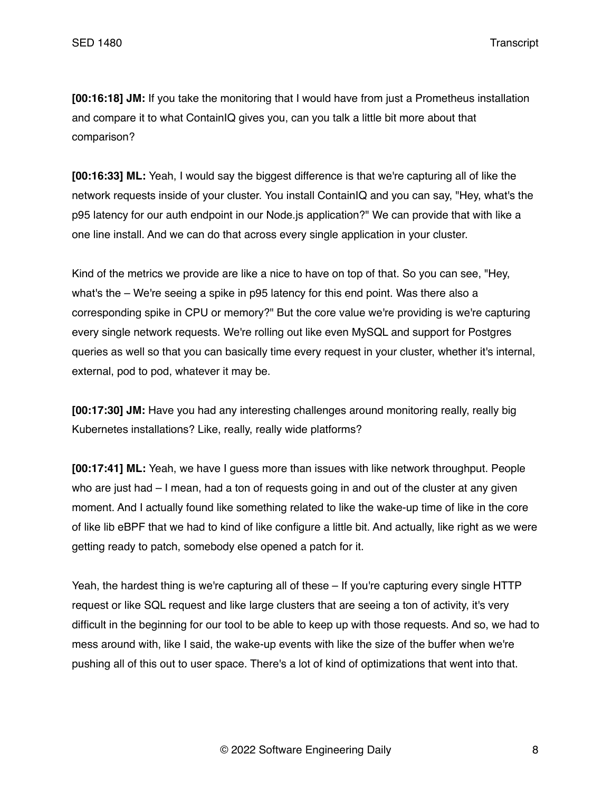**[00:16:18] JM:** If you take the monitoring that I would have from just a Prometheus installation and compare it to what ContainIQ gives you, can you talk a little bit more about that comparison?

**[00:16:33] ML:** Yeah, I would say the biggest difference is that we're capturing all of like the network requests inside of your cluster. You install ContainIQ and you can say, "Hey, what's the p95 latency for our auth endpoint in our Node.js application?" We can provide that with like a one line install. And we can do that across every single application in your cluster.

Kind of the metrics we provide are like a nice to have on top of that. So you can see, "Hey, what's the – We're seeing a spike in p95 latency for this end point. Was there also a corresponding spike in CPU or memory?" But the core value we're providing is we're capturing every single network requests. We're rolling out like even MySQL and support for Postgres queries as well so that you can basically time every request in your cluster, whether it's internal, external, pod to pod, whatever it may be.

**[00:17:30] JM:** Have you had any interesting challenges around monitoring really, really big Kubernetes installations? Like, really, really wide platforms?

**[00:17:41] ML:** Yeah, we have I guess more than issues with like network throughput. People who are just had – I mean, had a ton of requests going in and out of the cluster at any given moment. And I actually found like something related to like the wake-up time of like in the core of like lib eBPF that we had to kind of like configure a little bit. And actually, like right as we were getting ready to patch, somebody else opened a patch for it.

Yeah, the hardest thing is we're capturing all of these – If you're capturing every single HTTP request or like SQL request and like large clusters that are seeing a ton of activity, it's very difficult in the beginning for our tool to be able to keep up with those requests. And so, we had to mess around with, like I said, the wake-up events with like the size of the buffer when we're pushing all of this out to user space. There's a lot of kind of optimizations that went into that.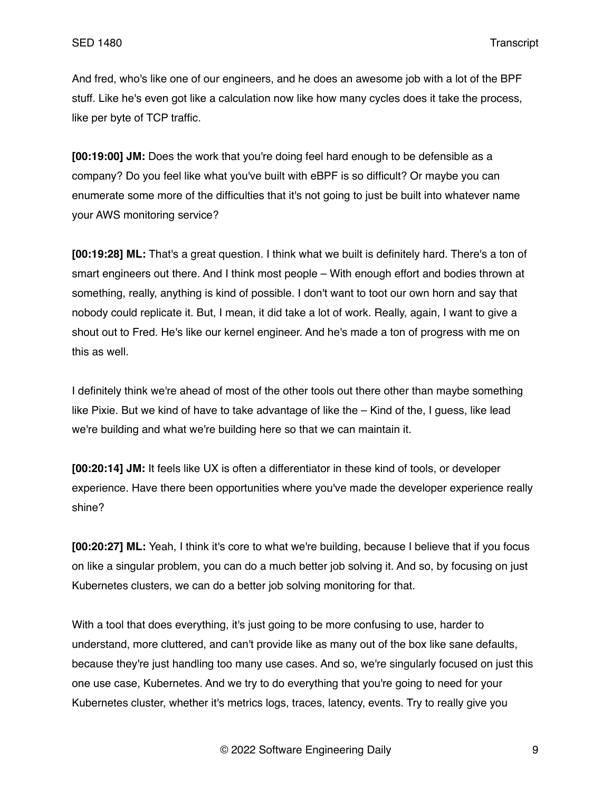And fred, who's like one of our engineers, and he does an awesome job with a lot of the BPF stuff. Like he's even got like a calculation now like how many cycles does it take the process, like per byte of TCP traffic.

**[00:19:00] JM:** Does the work that you're doing feel hard enough to be defensible as a company? Do you feel like what you've built with eBPF is so difficult? Or maybe you can enumerate some more of the difficulties that it's not going to just be built into whatever name your AWS monitoring service?

**[00:19:28] ML:** That's a great question. I think what we built is definitely hard. There's a ton of smart engineers out there. And I think most people – With enough effort and bodies thrown at something, really, anything is kind of possible. I don't want to toot our own horn and say that nobody could replicate it. But, I mean, it did take a lot of work. Really, again, I want to give a shout out to Fred. He's like our kernel engineer. And he's made a ton of progress with me on this as well.

I definitely think we're ahead of most of the other tools out there other than maybe something like Pixie. But we kind of have to take advantage of like the – Kind of the, I guess, like lead we're building and what we're building here so that we can maintain it.

**[00:20:14] JM:** It feels like UX is often a differentiator in these kind of tools, or developer experience. Have there been opportunities where you've made the developer experience really shine?

**[00:20:27] ML:** Yeah, I think it's core to what we're building, because I believe that if you focus on like a singular problem, you can do a much better job solving it. And so, by focusing on just Kubernetes clusters, we can do a better job solving monitoring for that.

With a tool that does everything, it's just going to be more confusing to use, harder to understand, more cluttered, and can't provide like as many out of the box like sane defaults, because they're just handling too many use cases. And so, we're singularly focused on just this one use case, Kubernetes. And we try to do everything that you're going to need for your Kubernetes cluster, whether it's metrics logs, traces, latency, events. Try to really give you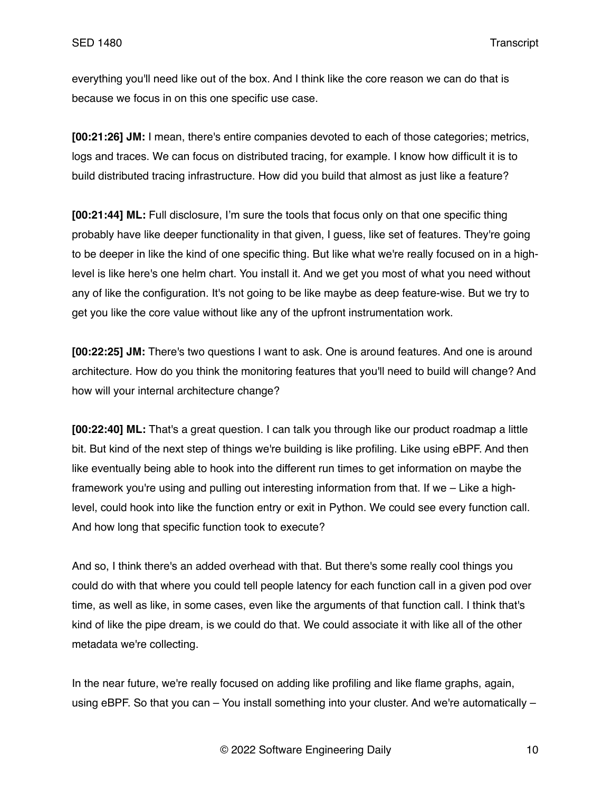everything you'll need like out of the box. And I think like the core reason we can do that is because we focus in on this one specific use case.

**[00:21:26] JM:** I mean, there's entire companies devoted to each of those categories; metrics, logs and traces. We can focus on distributed tracing, for example. I know how difficult it is to build distributed tracing infrastructure. How did you build that almost as just like a feature?

**[00:21:44] ML:** Full disclosure, I'm sure the tools that focus only on that one specific thing probably have like deeper functionality in that given, I guess, like set of features. They're going to be deeper in like the kind of one specific thing. But like what we're really focused on in a highlevel is like here's one helm chart. You install it. And we get you most of what you need without any of like the configuration. It's not going to be like maybe as deep feature-wise. But we try to get you like the core value without like any of the upfront instrumentation work.

**[00:22:25] JM:** There's two questions I want to ask. One is around features. And one is around architecture. How do you think the monitoring features that you'll need to build will change? And how will your internal architecture change?

**[00:22:40] ML:** That's a great question. I can talk you through like our product roadmap a little bit. But kind of the next step of things we're building is like profiling. Like using eBPF. And then like eventually being able to hook into the different run times to get information on maybe the framework you're using and pulling out interesting information from that. If we – Like a highlevel, could hook into like the function entry or exit in Python. We could see every function call. And how long that specific function took to execute?

And so, I think there's an added overhead with that. But there's some really cool things you could do with that where you could tell people latency for each function call in a given pod over time, as well as like, in some cases, even like the arguments of that function call. I think that's kind of like the pipe dream, is we could do that. We could associate it with like all of the other metadata we're collecting.

In the near future, we're really focused on adding like profiling and like flame graphs, again, using eBPF. So that you can – You install something into your cluster. And we're automatically –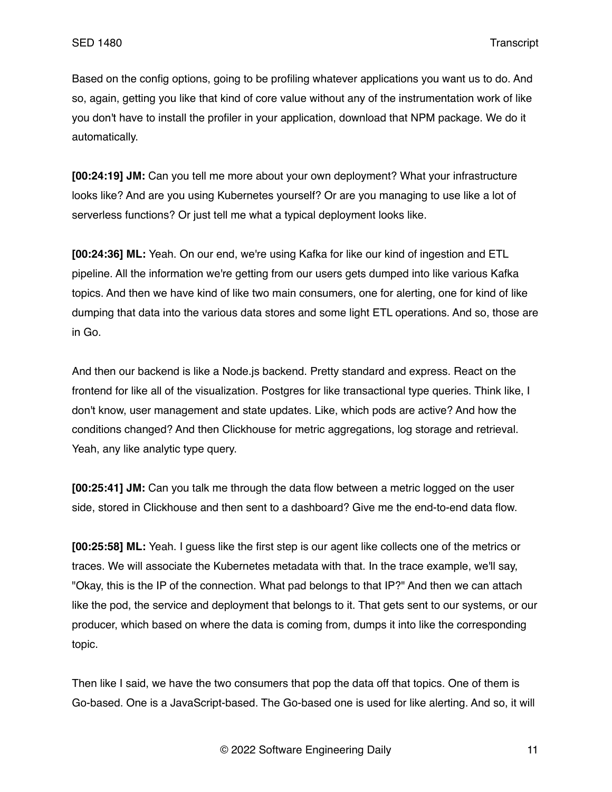Based on the config options, going to be profiling whatever applications you want us to do. And so, again, getting you like that kind of core value without any of the instrumentation work of like you don't have to install the profiler in your application, download that NPM package. We do it automatically.

**[00:24:19] JM:** Can you tell me more about your own deployment? What your infrastructure looks like? And are you using Kubernetes yourself? Or are you managing to use like a lot of serverless functions? Or just tell me what a typical deployment looks like.

**[00:24:36] ML:** Yeah. On our end, we're using Kafka for like our kind of ingestion and ETL pipeline. All the information we're getting from our users gets dumped into like various Kafka topics. And then we have kind of like two main consumers, one for alerting, one for kind of like dumping that data into the various data stores and some light ETL operations. And so, those are in Go.

And then our backend is like a Node.js backend. Pretty standard and express. React on the frontend for like all of the visualization. Postgres for like transactional type queries. Think like, I don't know, user management and state updates. Like, which pods are active? And how the conditions changed? And then Clickhouse for metric aggregations, log storage and retrieval. Yeah, any like analytic type query.

**[00:25:41] JM:** Can you talk me through the data flow between a metric logged on the user side, stored in Clickhouse and then sent to a dashboard? Give me the end-to-end data flow.

**[00:25:58] ML:** Yeah. I guess like the first step is our agent like collects one of the metrics or traces. We will associate the Kubernetes metadata with that. In the trace example, we'll say, "Okay, this is the IP of the connection. What pad belongs to that IP?" And then we can attach like the pod, the service and deployment that belongs to it. That gets sent to our systems, or our producer, which based on where the data is coming from, dumps it into like the corresponding topic.

Then like I said, we have the two consumers that pop the data off that topics. One of them is Go-based. One is a JavaScript-based. The Go-based one is used for like alerting. And so, it will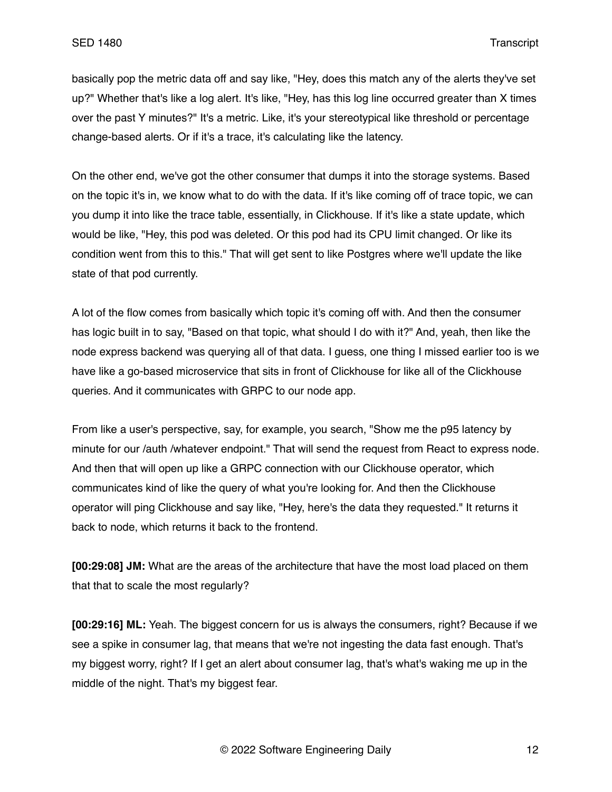basically pop the metric data off and say like, "Hey, does this match any of the alerts they've set up?" Whether that's like a log alert. It's like, "Hey, has this log line occurred greater than X times over the past Y minutes?" It's a metric. Like, it's your stereotypical like threshold or percentage change-based alerts. Or if it's a trace, it's calculating like the latency.

On the other end, we've got the other consumer that dumps it into the storage systems. Based on the topic it's in, we know what to do with the data. If it's like coming off of trace topic, we can you dump it into like the trace table, essentially, in Clickhouse. If it's like a state update, which would be like, "Hey, this pod was deleted. Or this pod had its CPU limit changed. Or like its condition went from this to this." That will get sent to like Postgres where we'll update the like state of that pod currently.

A lot of the flow comes from basically which topic it's coming off with. And then the consumer has logic built in to say, "Based on that topic, what should I do with it?" And, yeah, then like the node express backend was querying all of that data. I guess, one thing I missed earlier too is we have like a go-based microservice that sits in front of Clickhouse for like all of the Clickhouse queries. And it communicates with GRPC to our node app.

From like a user's perspective, say, for example, you search, "Show me the p95 latency by minute for our /auth /whatever endpoint." That will send the request from React to express node. And then that will open up like a GRPC connection with our Clickhouse operator, which communicates kind of like the query of what you're looking for. And then the Clickhouse operator will ping Clickhouse and say like, "Hey, here's the data they requested." It returns it back to node, which returns it back to the frontend.

**[00:29:08] JM:** What are the areas of the architecture that have the most load placed on them that that to scale the most regularly?

**[00:29:16] ML:** Yeah. The biggest concern for us is always the consumers, right? Because if we see a spike in consumer lag, that means that we're not ingesting the data fast enough. That's my biggest worry, right? If I get an alert about consumer lag, that's what's waking me up in the middle of the night. That's my biggest fear.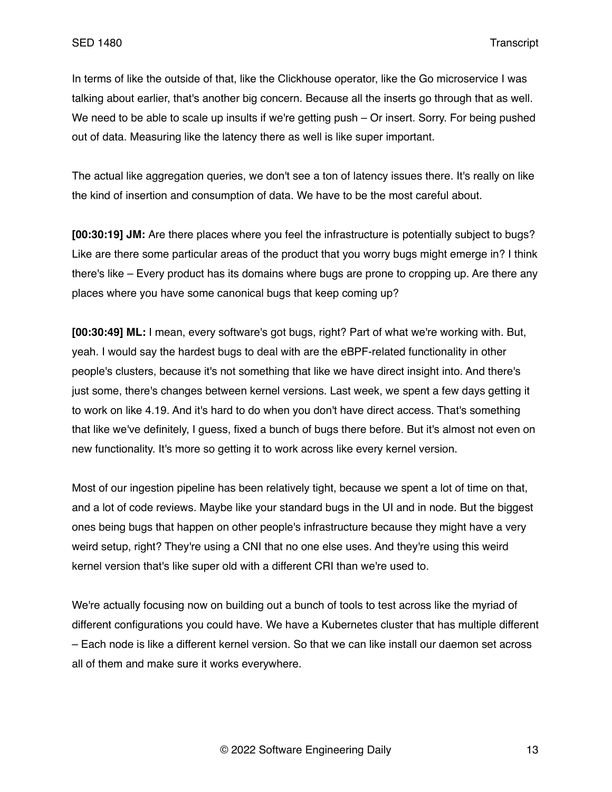In terms of like the outside of that, like the Clickhouse operator, like the Go microservice I was talking about earlier, that's another big concern. Because all the inserts go through that as well. We need to be able to scale up insults if we're getting push – Or insert. Sorry. For being pushed out of data. Measuring like the latency there as well is like super important.

The actual like aggregation queries, we don't see a ton of latency issues there. It's really on like the kind of insertion and consumption of data. We have to be the most careful about.

**[00:30:19] JM:** Are there places where you feel the infrastructure is potentially subject to bugs? Like are there some particular areas of the product that you worry bugs might emerge in? I think there's like – Every product has its domains where bugs are prone to cropping up. Are there any places where you have some canonical bugs that keep coming up?

**[00:30:49] ML:** I mean, every software's got bugs, right? Part of what we're working with. But, yeah. I would say the hardest bugs to deal with are the eBPF-related functionality in other people's clusters, because it's not something that like we have direct insight into. And there's just some, there's changes between kernel versions. Last week, we spent a few days getting it to work on like 4.19. And it's hard to do when you don't have direct access. That's something that like we've definitely, I guess, fixed a bunch of bugs there before. But it's almost not even on new functionality. It's more so getting it to work across like every kernel version.

Most of our ingestion pipeline has been relatively tight, because we spent a lot of time on that, and a lot of code reviews. Maybe like your standard bugs in the UI and in node. But the biggest ones being bugs that happen on other people's infrastructure because they might have a very weird setup, right? They're using a CNI that no one else uses. And they're using this weird kernel version that's like super old with a different CRI than we're used to.

We're actually focusing now on building out a bunch of tools to test across like the myriad of different configurations you could have. We have a Kubernetes cluster that has multiple different – Each node is like a different kernel version. So that we can like install our daemon set across all of them and make sure it works everywhere.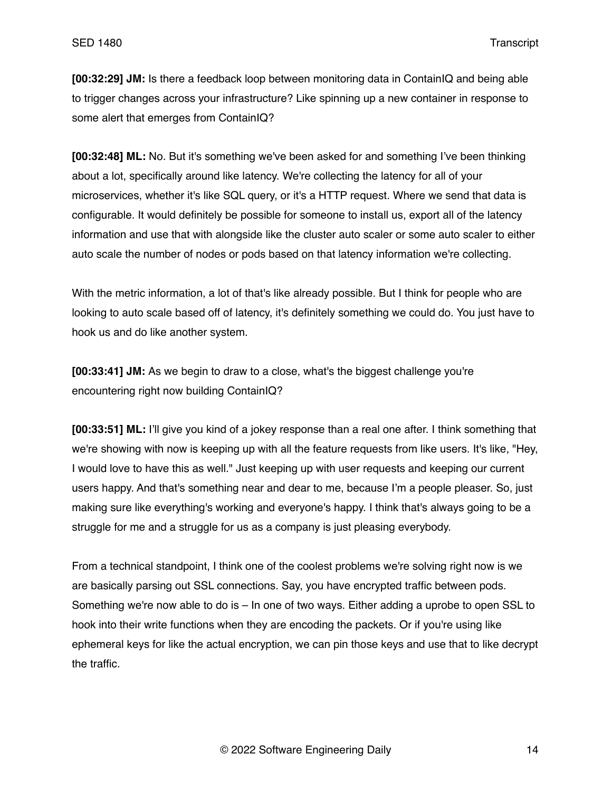**[00:32:29] JM:** Is there a feedback loop between monitoring data in ContainIQ and being able to trigger changes across your infrastructure? Like spinning up a new container in response to some alert that emerges from ContainIQ?

**[00:32:48] ML:** No. But it's something we've been asked for and something I've been thinking about a lot, specifically around like latency. We're collecting the latency for all of your microservices, whether it's like SQL query, or it's a HTTP request. Where we send that data is configurable. It would definitely be possible for someone to install us, export all of the latency information and use that with alongside like the cluster auto scaler or some auto scaler to either auto scale the number of nodes or pods based on that latency information we're collecting.

With the metric information, a lot of that's like already possible. But I think for people who are looking to auto scale based off of latency, it's definitely something we could do. You just have to hook us and do like another system.

**[00:33:41] JM:** As we begin to draw to a close, what's the biggest challenge you're encountering right now building ContainIQ?

**[00:33:51] ML:** I'll give you kind of a jokey response than a real one after. I think something that we're showing with now is keeping up with all the feature requests from like users. It's like, "Hey, I would love to have this as well." Just keeping up with user requests and keeping our current users happy. And that's something near and dear to me, because I'm a people pleaser. So, just making sure like everything's working and everyone's happy. I think that's always going to be a struggle for me and a struggle for us as a company is just pleasing everybody.

From a technical standpoint, I think one of the coolest problems we're solving right now is we are basically parsing out SSL connections. Say, you have encrypted traffic between pods. Something we're now able to do is – In one of two ways. Either adding a uprobe to open SSL to hook into their write functions when they are encoding the packets. Or if you're using like ephemeral keys for like the actual encryption, we can pin those keys and use that to like decrypt the traffic.